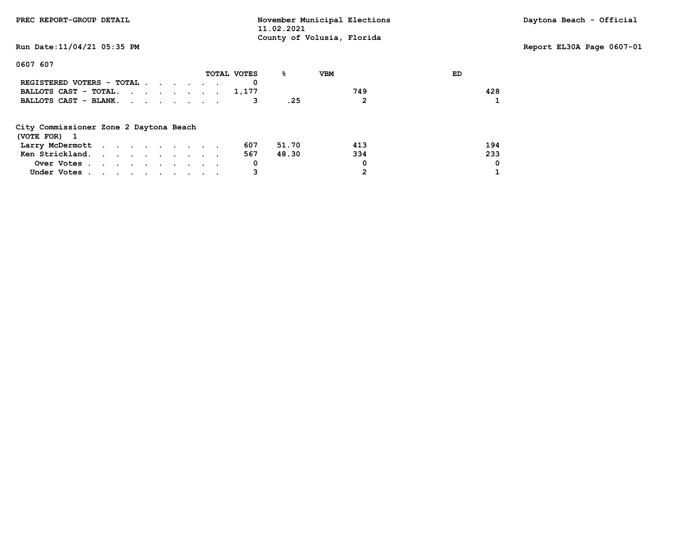| PREC REPORT-GROUP DETAIL                                                      | 11.02.2021       | November Municipal Elections |     | Daytona Beach - Official  |
|-------------------------------------------------------------------------------|------------------|------------------------------|-----|---------------------------|
| Run Date: 11/04/21 05:35 PM                                                   |                  | County of Volusia, Florida   |     | Report EL30A Page 0607-01 |
| 0607 607                                                                      |                  |                              |     |                           |
|                                                                               | ℁<br>TOTAL VOTES | <b>VBM</b>                   | ED  |                           |
| REGISTERED VOTERS - TOTAL                                                     |                  |                              |     |                           |
| BALLOTS CAST - TOTAL. $\cdot \cdot \cdot \cdot \cdot \cdot \cdot \cdot 1,177$ |                  | 749                          | 428 |                           |
| BALLOTS CAST - BLANK.                                                         | . 25             | 2                            |     |                           |
| City Commissioner Zone 2 Daytona Beach                                        |                  |                              |     |                           |
| (VOTE FOR) 1                                                                  |                  |                              |     |                           |
| Larry McDermott                                                               | 51.70<br>607     | 413                          | 194 |                           |
| Ken Strickland.                                                               | 567<br>48.30     | 334                          | 233 |                           |
| Over Votes                                                                    | 0                | 0                            | 0   |                           |
| Under Votes                                                                   | 3                | 2                            |     |                           |